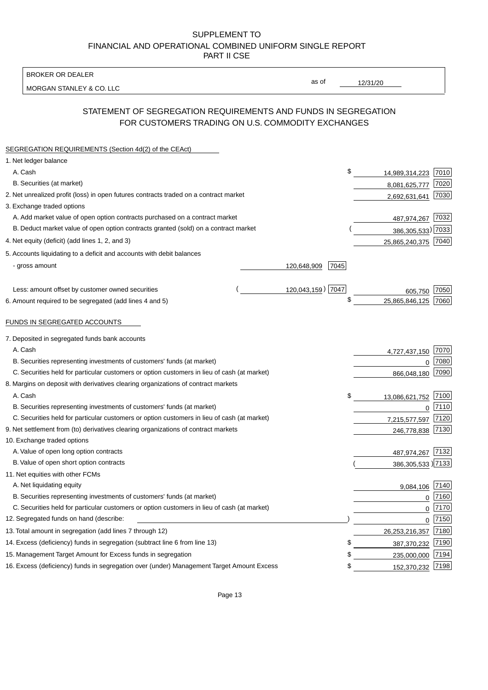BROKER OR DEALER

MORGAN STANLEY & CO. LLC

12/31/20

as of

# STATEMENT OF SEGREGATION REQUIREMENTS AND FUNDS IN SEGREGATION FOR CUSTOMERS TRADING ON U.S. COMMODITY EXCHANGES

| SEGREGATION REQUIREMENTS (Section 4d(2) of the CEAct)                                       |                     |                   |      |
|---------------------------------------------------------------------------------------------|---------------------|-------------------|------|
| 1. Net ledger balance                                                                       |                     |                   |      |
| A. Cash                                                                                     | \$                  | 14,989,314,223    | 7010 |
| B. Securities (at market)                                                                   |                     | 8,081,625,777     | 7020 |
| 2. Net unrealized profit (loss) in open futures contracts traded on a contract market       |                     | 2,692,631,641     | 7030 |
| 3. Exchange traded options                                                                  |                     |                   |      |
| A. Add market value of open option contracts purchased on a contract market                 |                     | 487,974,267 7032  |      |
| B. Deduct market value of open option contracts granted (sold) on a contract market         |                     | 386,305,533) 7033 |      |
| 4. Net equity (deficit) (add lines 1, 2, and 3)                                             |                     | 25,865,240,375    | 7040 |
| 5. Accounts liquidating to a deficit and accounts with debit balances                       |                     |                   |      |
| - gross amount                                                                              | 120,648,909<br>7045 |                   |      |
|                                                                                             |                     |                   |      |
| Less: amount offset by customer owned securities                                            | 120,043,159) 7047   | 605,750           | 7050 |
| 6. Amount required to be segregated (add lines 4 and 5)                                     | \$                  | 25,865,846,125    | 7060 |
|                                                                                             |                     |                   |      |
| FUNDS IN SEGREGATED ACCOUNTS                                                                |                     |                   |      |
| 7. Deposited in segregated funds bank accounts                                              |                     |                   |      |
| A. Cash                                                                                     |                     | 4,727,437,150     | 7070 |
| B. Securities representing investments of customers' funds (at market)                      |                     | 0                 | 7080 |
| C. Securities held for particular customers or option customers in lieu of cash (at market) |                     | 866,048,180       | 7090 |
| 8. Margins on deposit with derivatives clearing organizations of contract markets           |                     |                   |      |
| A. Cash                                                                                     | \$                  | 13,086,621,752    | 7100 |
| B. Securities representing investments of customers' funds (at market)                      |                     | $\mathbf 0$       | 7110 |
| C. Securities held for particular customers or option customers in lieu of cash (at market) |                     | 7,215,577,597     | 7120 |
| 9. Net settlement from (to) derivatives clearing organizations of contract markets          |                     | 246,778,838       | 7130 |
| 10. Exchange traded options                                                                 |                     |                   |      |
| A. Value of open long option contracts                                                      |                     | 487,974,267       | 7132 |
| B. Value of open short option contracts                                                     |                     | 386,305,533 )7133 |      |
| 11. Net equities with other FCMs                                                            |                     |                   |      |
| A. Net liquidating equity                                                                   |                     | 9,084,106         | 7140 |
| B. Securities representing investments of customers' funds (at market)                      |                     | $\Omega$          | 7160 |
| C. Securities held for particular customers or option customers in lieu of cash (at market) |                     | $\mathbf 0$       | 7170 |
| 12. Segregated funds on hand (describe:                                                     |                     | $\mathbf 0$       | 7150 |
| 13. Total amount in segregation (add lines 7 through 12)                                    |                     | 26,253,216,357    | 7180 |
| 14. Excess (deficiency) funds in segregation (subtract line 6 from line 13)                 | \$                  | 387,370,232       | 7190 |
| 15. Management Target Amount for Excess funds in segregation                                | \$                  | 235,000,000       | 7194 |
| 16. Excess (deficiency) funds in segregation over (under) Management Target Amount Excess   | \$                  | 152,370,232       | 7198 |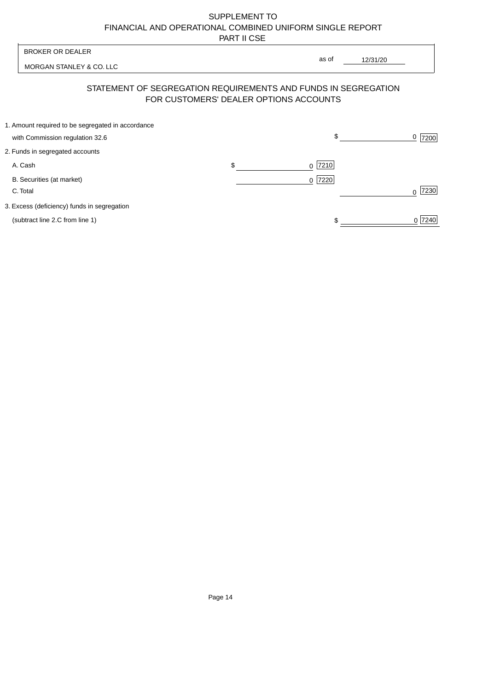| <b>BROKER OR DEALER</b>                                                              | as of                                  |                  |
|--------------------------------------------------------------------------------------|----------------------------------------|------------------|
| MORGAN STANLEY & CO. LLC                                                             | 12/31/20                               |                  |
| STATEMENT OF SEGREGATION REQUIREMENTS AND FUNDS IN SEGREGATION                       | FOR CUSTOMERS' DEALER OPTIONS ACCOUNTS |                  |
| 1. Amount required to be segregated in accordance<br>with Commission regulation 32.6 | \$                                     | 0<br>7200        |
| 2. Funds in segregated accounts                                                      |                                        |                  |
| A. Cash                                                                              | \$<br>7210<br><sup>0</sup>             |                  |
| B. Securities (at market)<br>C. Total                                                | 0 7220                                 | 7230<br>$\Omega$ |
| 3. Excess (deficiency) funds in segregation                                          |                                        |                  |
| (subtract line 2.C from line 1)                                                      |                                        | 0 7240           |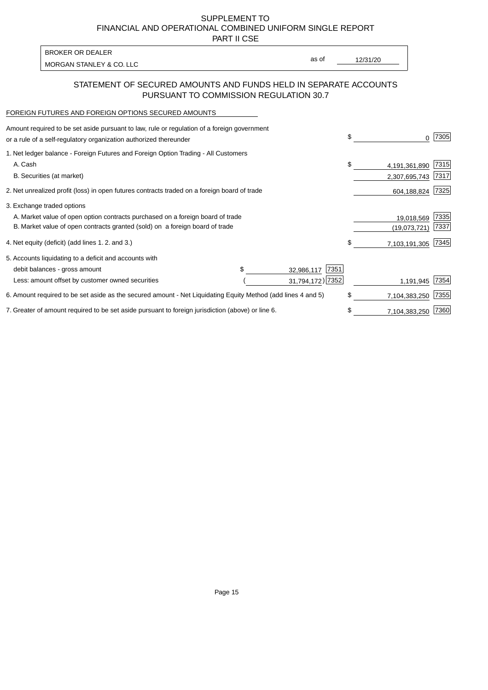PART II CSE

MORGAN STANLEY & CO. LLC and the contract of the contract of the contract of the contract of the contract of the contract of the contract of the contract of the contract of the contract of the contract of the contract of t BROKER OR DEALER

as of

## STATEMENT OF SECURED AMOUNTS AND FUNDS HELD IN SEPARATE ACCOUNTS PURSUANT TO COMMISSION REGULATION 30.7

#### FOREIGN FUTURES AND FOREIGN OPTIONS SECURED AMOUNTS

| Amount required to be set aside pursuant to law, rule or regulation of a foreign government<br>or a rule of a self-regulatory organization authorized thereunder |  |                     | \$<br>0             | 7305 |
|------------------------------------------------------------------------------------------------------------------------------------------------------------------|--|---------------------|---------------------|------|
| 1. Net ledger balance - Foreign Futures and Foreign Option Trading - All Customers                                                                               |  |                     |                     |      |
| A. Cash                                                                                                                                                          |  |                     | \$<br>4,191,361,890 | 7315 |
| B. Securities (at market)                                                                                                                                        |  |                     | 2,307,695,743       | 7317 |
| 2. Net unrealized profit (loss) in open futures contracts traded on a foreign board of trade                                                                     |  |                     | 604,188,824         | 7325 |
| 3. Exchange traded options                                                                                                                                       |  |                     |                     |      |
| A. Market value of open option contracts purchased on a foreign board of trade                                                                                   |  |                     | 19,018,569          | 7335 |
| B. Market value of open contracts granted (sold) on a foreign board of trade                                                                                     |  |                     | (19,073,721)        | 7337 |
| 4. Net equity (deficit) (add lines 1.2. and 3.)                                                                                                                  |  |                     | \$<br>7,103,191,305 | 7345 |
| 5. Accounts liquidating to a deficit and accounts with                                                                                                           |  |                     |                     |      |
| debit balances - gross amount                                                                                                                                    |  | 7351<br>32,986,117  |                     |      |
| Less: amount offset by customer owned securities                                                                                                                 |  | 31,794,172) 7352    | 1,191,945           | 7354 |
| 6. Amount required to be set aside as the secured amount - Net Liquidating Equity Method (add lines 4 and 5)                                                     |  |                     | \$<br>7,104,383,250 | 7355 |
| 7. Greater of amount required to be set aside pursuant to foreign jurisdiction (above) or line 6.                                                                |  | \$<br>7,104,383,250 | 7360                |      |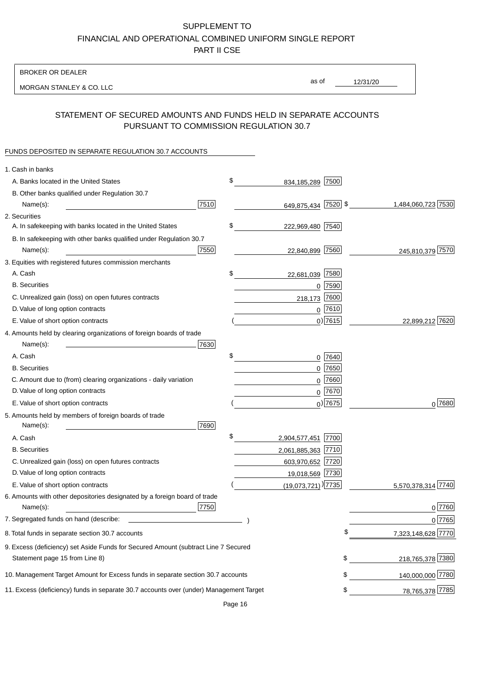BROKER OR DEALER

MORGAN STANLEY & CO. LLC

12/31/20 as of

# STATEMENT OF SECURED AMOUNTS AND FUNDS HELD IN SEPARATE ACCOUNTS PURSUANT TO COMMISSION REGULATION 30.7

### FUNDS DEPOSITED IN SEPARATE REGULATION 30.7 ACCOUNTS

| 1. Cash in banks                                                                       |      |                                |            |                    |
|----------------------------------------------------------------------------------------|------|--------------------------------|------------|--------------------|
| A. Banks located in the United States                                                  | \$   | 834,185,289 7500               |            |                    |
| B. Other banks qualified under Regulation 30.7                                         |      |                                |            |                    |
| Name(s):                                                                               | 7510 | 649,875,434 7520 \$            |            | 1,484,060,723 7530 |
| 2. Securities                                                                          |      |                                |            |                    |
| A. In safekeeping with banks located in the United States                              | \$   | 222,969,480 7540               |            |                    |
| B. In safekeeping with other banks qualified under Regulation 30.7                     |      |                                |            |                    |
| Name(s):                                                                               | 7550 | 22,840,899 7560                |            | 245,810,379 7570   |
| 3. Equities with registered futures commission merchants                               |      |                                |            |                    |
| A. Cash                                                                                | \$   | 22,681,039 7580                |            |                    |
| <b>B.</b> Securities                                                                   |      |                                | $0$ 7590   |                    |
| C. Unrealized gain (loss) on open futures contracts                                    |      | 218,173                        | 7600       |                    |
| D. Value of long option contracts                                                      |      |                                | $0$ 7610   |                    |
| E. Value of short option contracts                                                     |      |                                | $0)$ 7615  | 22,899,212 7620    |
| 4. Amounts held by clearing organizations of foreign boards of trade                   |      |                                |            |                    |
| Name(s):                                                                               | 7630 |                                |            |                    |
| A. Cash                                                                                | \$   |                                | $0$ 7640   |                    |
| <b>B.</b> Securities                                                                   |      | 0                              | 7650       |                    |
| C. Amount due to (from) clearing organizations - daily variation                       |      | 0                              | 7660       |                    |
| D. Value of long option contracts                                                      |      |                                | 0 7670     |                    |
| E. Value of short option contracts                                                     |      |                                | $0$ ) 7675 | $0^{7680}$         |
| 5. Amounts held by members of foreign boards of trade                                  |      |                                |            |                    |
| Name(s):                                                                               | 7690 |                                |            |                    |
| A. Cash                                                                                | \$   | 2,904,577,451 7700             |            |                    |
| <b>B.</b> Securities                                                                   |      | 2,061,885,363 7710             |            |                    |
| C. Unrealized gain (loss) on open futures contracts                                    |      | 603,970,652 7720               |            |                    |
| D. Value of long option contracts                                                      |      | 19,018,569 7730                |            |                    |
| E. Value of short option contracts                                                     |      | $(19,073,721)$ <sup>1735</sup> |            | 5,570,378,314 7740 |
| 6. Amounts with other depositories designated by a foreign board of trade              |      |                                |            |                    |
| Name(s):                                                                               | 7750 |                                |            | 0 7760             |
| 7. Segregated funds on hand (describe:                                                 |      |                                |            | 0 7765             |
| 8. Total funds in separate section 30.7 accounts                                       |      |                                | \$         | 7,323,148,628 7770 |
| 9. Excess (deficiency) set Aside Funds for Secured Amount (subtract Line 7 Secured     |      |                                |            |                    |
| Statement page 15 from Line 8)                                                         |      |                                | \$         | 218,765,378 7380   |
| 10. Management Target Amount for Excess funds in separate section 30.7 accounts        |      |                                | \$         | 140,000,000 7780   |
| 11. Excess (deficiency) funds in separate 30.7 accounts over (under) Management Target |      |                                | \$         | 78,765,378 7785    |
|                                                                                        |      |                                |            |                    |